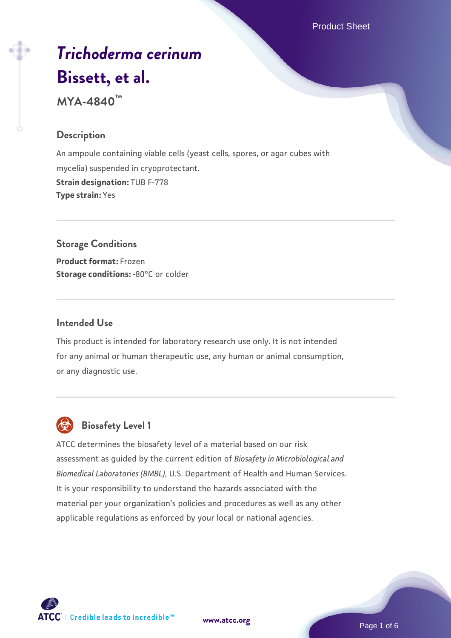Product Sheet

# *[Trichoderma cerinum](https://www.atcc.org/products/mya-4840)* **[Bissett, et al.](https://www.atcc.org/products/mya-4840)**

**MYA-4840™**

# **Description**

An ampoule containing viable cells (yeast cells, spores, or agar cubes with mycelia) suspended in cryoprotectant. **Strain designation:** TUB F-778 **Type strain:** Yes

# **Storage Conditions**

**Product format:** Frozen **Storage conditions: -80°C or colder** 

# **Intended Use**

This product is intended for laboratory research use only. It is not intended for any animal or human therapeutic use, any human or animal consumption, or any diagnostic use.



# **Biosafety Level 1**

ATCC determines the biosafety level of a material based on our risk assessment as guided by the current edition of *Biosafety in Microbiological and Biomedical Laboratories (BMBL)*, U.S. Department of Health and Human Services. It is your responsibility to understand the hazards associated with the material per your organization's policies and procedures as well as any other applicable regulations as enforced by your local or national agencies.

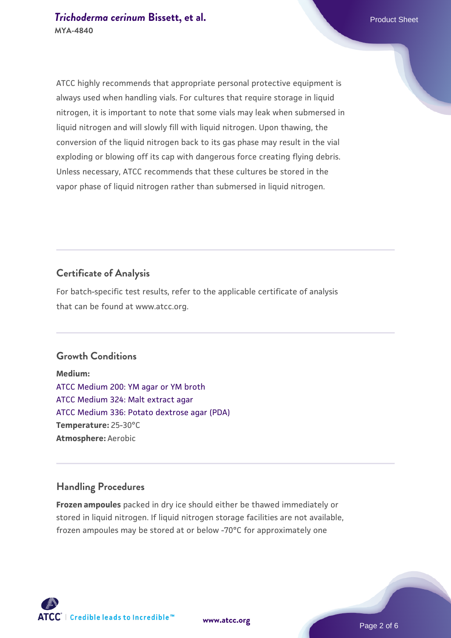ATCC highly recommends that appropriate personal protective equipment is always used when handling vials. For cultures that require storage in liquid nitrogen, it is important to note that some vials may leak when submersed in liquid nitrogen and will slowly fill with liquid nitrogen. Upon thawing, the conversion of the liquid nitrogen back to its gas phase may result in the vial exploding or blowing off its cap with dangerous force creating flying debris. Unless necessary, ATCC recommends that these cultures be stored in the

**Certificate of Analysis**

For batch-specific test results, refer to the applicable certificate of analysis that can be found at www.atcc.org.

vapor phase of liquid nitrogen rather than submersed in liquid nitrogen.

#### **Growth Conditions**

**Medium:**  [ATCC Medium 200: YM agar or YM broth](https://www.atcc.org/-/media/product-assets/documents/microbial-media-formulations/2/0/0/atcc-medium-200.pdf?rev=ac40fd74dc13433a809367b0b9da30fc) [ATCC Medium 324: Malt extract agar](https://www.atcc.org/-/media/product-assets/documents/microbial-media-formulations/3/2/4/atcc-medium-324.pdf?rev=5a8b3f6dcb23452d9462ec38b36f0bb6) [ATCC Medium 336: Potato dextrose agar \(PDA\)](https://www.atcc.org/-/media/product-assets/documents/microbial-media-formulations/3/3/6/atcc-medium-336.pdf?rev=d9160ad44d934cd8b65175461abbf3b9) **Temperature:** 25-30°C **Atmosphere:** Aerobic

#### **Handling Procedures**

**Frozen ampoules** packed in dry ice should either be thawed immediately or stored in liquid nitrogen. If liquid nitrogen storage facilities are not available, frozen ampoules may be stored at or below -70°C for approximately one

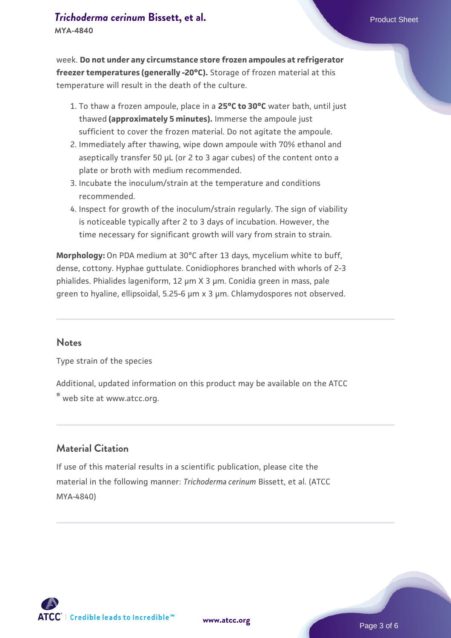# **[Trichoderma cerinum](https://www.atcc.org/products/mya-4840) [Bissett, et al.](https://www.atcc.org/products/mya-4840)** Product Sheet

**MYA-4840**

week. **Do not under any circumstance store frozen ampoules at refrigerator freezer temperatures (generally -20°C).** Storage of frozen material at this temperature will result in the death of the culture.

- 1. To thaw a frozen ampoule, place in a **25°C to 30°C** water bath, until just thawed **(approximately 5 minutes).** Immerse the ampoule just sufficient to cover the frozen material. Do not agitate the ampoule.
- 2. Immediately after thawing, wipe down ampoule with 70% ethanol and aseptically transfer 50 µL (or 2 to 3 agar cubes) of the content onto a plate or broth with medium recommended.
- Incubate the inoculum/strain at the temperature and conditions 3. recommended.
- 4. Inspect for growth of the inoculum/strain regularly. The sign of viability is noticeable typically after 2 to 3 days of incubation. However, the time necessary for significant growth will vary from strain to strain.

**Morphology:** On PDA medium at 30°C after 13 days, mycelium white to buff, dense, cottony. Hyphae guttulate. Conidiophores branched with whorls of 2-3 phialides. Phialides lageniform, 12 µm X 3 µm. Conidia green in mass, pale green to hyaline, ellipsoidal, 5.25-6 µm x 3 µm. Chlamydospores not observed.

#### **Notes**

Type strain of the species

Additional, updated information on this product may be available on the ATCC

® web site at www.atcc.org.

## **Material Citation**

If use of this material results in a scientific publication, please cite the material in the following manner: *Trichoderma cerinum* Bissett, et al. (ATCC MYA-4840)

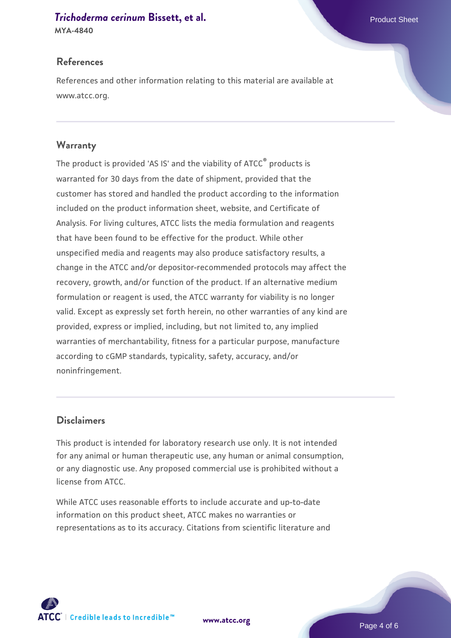# **[Trichoderma cerinum](https://www.atcc.org/products/mya-4840) [Bissett, et al.](https://www.atcc.org/products/mya-4840)** Product Sheet

**MYA-4840**

#### **References**

References and other information relating to this material are available at www.atcc.org.

## **Warranty**

The product is provided 'AS IS' and the viability of ATCC® products is warranted for 30 days from the date of shipment, provided that the customer has stored and handled the product according to the information included on the product information sheet, website, and Certificate of Analysis. For living cultures, ATCC lists the media formulation and reagents that have been found to be effective for the product. While other unspecified media and reagents may also produce satisfactory results, a change in the ATCC and/or depositor-recommended protocols may affect the recovery, growth, and/or function of the product. If an alternative medium formulation or reagent is used, the ATCC warranty for viability is no longer valid. Except as expressly set forth herein, no other warranties of any kind are provided, express or implied, including, but not limited to, any implied warranties of merchantability, fitness for a particular purpose, manufacture according to cGMP standards, typicality, safety, accuracy, and/or noninfringement.

## **Disclaimers**

This product is intended for laboratory research use only. It is not intended for any animal or human therapeutic use, any human or animal consumption, or any diagnostic use. Any proposed commercial use is prohibited without a license from ATCC.

While ATCC uses reasonable efforts to include accurate and up-to-date information on this product sheet, ATCC makes no warranties or representations as to its accuracy. Citations from scientific literature and



**[www.atcc.org](http://www.atcc.org)**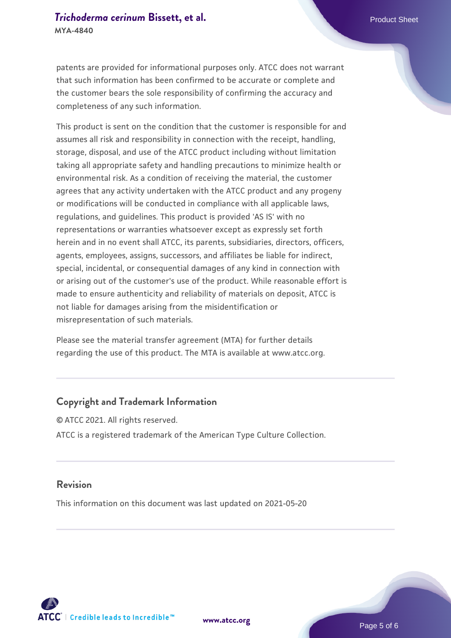patents are provided for informational purposes only. ATCC does not warrant that such information has been confirmed to be accurate or complete and the customer bears the sole responsibility of confirming the accuracy and completeness of any such information.

This product is sent on the condition that the customer is responsible for and assumes all risk and responsibility in connection with the receipt, handling, storage, disposal, and use of the ATCC product including without limitation taking all appropriate safety and handling precautions to minimize health or environmental risk. As a condition of receiving the material, the customer agrees that any activity undertaken with the ATCC product and any progeny or modifications will be conducted in compliance with all applicable laws, regulations, and guidelines. This product is provided 'AS IS' with no representations or warranties whatsoever except as expressly set forth herein and in no event shall ATCC, its parents, subsidiaries, directors, officers, agents, employees, assigns, successors, and affiliates be liable for indirect, special, incidental, or consequential damages of any kind in connection with or arising out of the customer's use of the product. While reasonable effort is made to ensure authenticity and reliability of materials on deposit, ATCC is not liable for damages arising from the misidentification or misrepresentation of such materials.

Please see the material transfer agreement (MTA) for further details regarding the use of this product. The MTA is available at www.atcc.org.

#### **Copyright and Trademark Information**

© ATCC 2021. All rights reserved. ATCC is a registered trademark of the American Type Culture Collection.

#### **Revision**

This information on this document was last updated on 2021-05-20